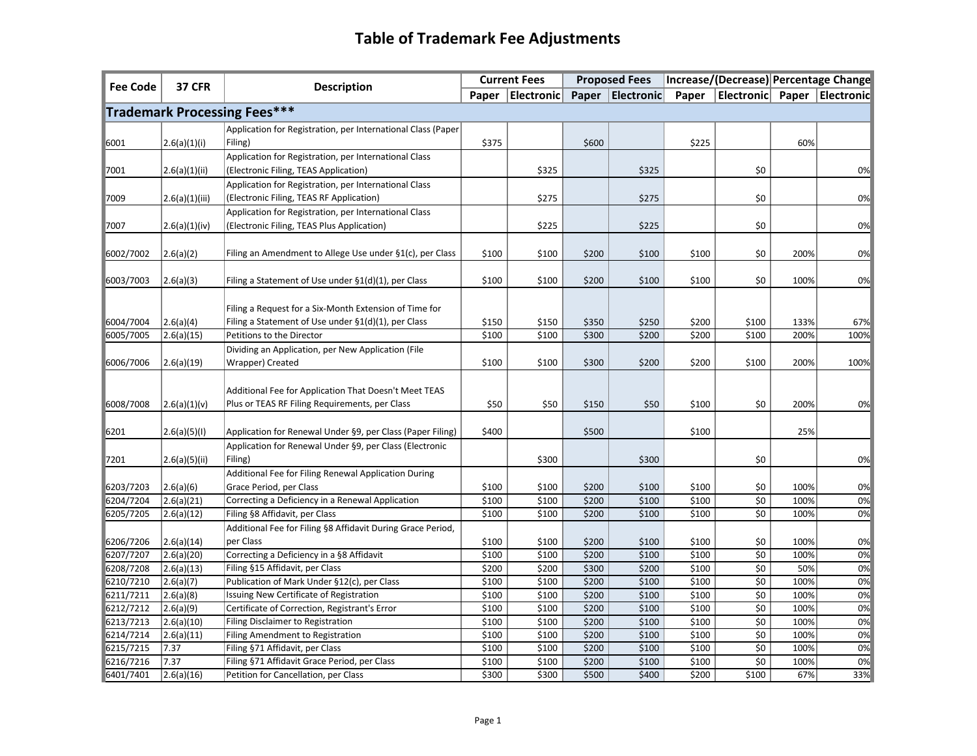## **Table of Trademark Fee Adjustments**

| <b>Fee Code</b>                     | <b>37 CFR</b>            | <b>Description</b>                                                                                                | <b>Current Fees</b> |                                         | <b>Proposed Fees</b> |                | Increase/(Decrease) Percentage Change |                             |              |                                         |
|-------------------------------------|--------------------------|-------------------------------------------------------------------------------------------------------------------|---------------------|-----------------------------------------|----------------------|----------------|---------------------------------------|-----------------------------|--------------|-----------------------------------------|
|                                     |                          |                                                                                                                   |                     | Paper   Electronic   Paper   Electronic |                      |                |                                       |                             |              | Paper   Electronic   Paper   Electronic |
| <b>Trademark Processing Fees***</b> |                          |                                                                                                                   |                     |                                         |                      |                |                                       |                             |              |                                         |
|                                     |                          | Application for Registration, per International Class (Paper)                                                     |                     |                                         |                      |                |                                       |                             |              |                                         |
| 6001                                | 2.6(a)(1)(i)             | Filing)                                                                                                           | \$375               |                                         | \$600                |                | \$225                                 |                             | 60%          |                                         |
|                                     |                          | Application for Registration, per International Class                                                             |                     |                                         |                      |                |                                       |                             |              |                                         |
| 7001                                | 2.6(a)(1)(ii)            | (Electronic Filing, TEAS Application)                                                                             |                     | \$325                                   |                      | \$325          |                                       | \$0                         |              | 0%                                      |
|                                     |                          | Application for Registration, per International Class                                                             |                     |                                         |                      |                |                                       |                             |              |                                         |
| 7009                                | 2.6(a)(1)(iii)           | (Electronic Filing, TEAS RF Application)                                                                          |                     | \$275                                   |                      | \$275          |                                       | \$0                         |              | 0%                                      |
|                                     |                          | Application for Registration, per International Class                                                             |                     |                                         |                      |                |                                       |                             |              |                                         |
| 7007                                | 2.6(a)(1)(iv)            | (Electronic Filing, TEAS Plus Application)                                                                        |                     | \$225                                   |                      | \$225          |                                       | \$0                         |              | 0%                                      |
|                                     |                          |                                                                                                                   |                     |                                         |                      |                |                                       |                             |              |                                         |
| 6002/7002                           | 2.6(a)(2)                | Filing an Amendment to Allege Use under §1(c), per Class                                                          | \$100               | \$100                                   | \$200                | \$100          | \$100                                 | \$0                         | 200%         | 0%                                      |
|                                     |                          |                                                                                                                   |                     |                                         |                      |                |                                       |                             |              |                                         |
| 6003/7003                           | 2.6(a)(3)                | Filing a Statement of Use under §1(d)(1), per Class                                                               | \$100               | \$100                                   | \$200                | \$100          | \$100                                 | \$0                         | 100%         | 0%                                      |
|                                     |                          |                                                                                                                   |                     |                                         |                      |                |                                       |                             |              |                                         |
| 6004/7004                           |                          | Filing a Request for a Six-Month Extension of Time for<br>Filing a Statement of Use under $\S1(d)(1)$ , per Class | \$150               | \$150                                   | \$350                | \$250          | \$200                                 | \$100                       | 133%         | 67%                                     |
| 6005/7005                           | 2.6(a)(4) <br>2.6(a)(15) | Petitions to the Director                                                                                         | \$100               | \$100                                   | \$300                | \$200          | \$200                                 | \$100                       | 200%         | 100%                                    |
|                                     |                          | Dividing an Application, per New Application (File                                                                |                     |                                         |                      |                |                                       |                             |              |                                         |
| 6006/7006                           | 2.6(a)(19)               | Wrapper) Created                                                                                                  | \$100               | \$100                                   | \$300                | \$200          | \$200                                 | \$100                       | 200%         | 100%                                    |
|                                     |                          |                                                                                                                   |                     |                                         |                      |                |                                       |                             |              |                                         |
|                                     |                          | Additional Fee for Application That Doesn't Meet TEAS                                                             |                     |                                         |                      |                |                                       |                             |              |                                         |
| 6008/7008                           | 2.6(a)(1)(v)             | Plus or TEAS RF Filing Requirements, per Class                                                                    | \$50                | \$50                                    | \$150                | \$50           | \$100                                 | \$0                         | 200%         | 0%                                      |
|                                     |                          |                                                                                                                   |                     |                                         |                      |                |                                       |                             |              |                                         |
| 6201                                | 2.6(a)(5)(1)             | Application for Renewal Under §9, per Class (Paper Filing)                                                        | \$400               |                                         | \$500                |                | \$100                                 |                             | 25%          |                                         |
|                                     |                          | Application for Renewal Under §9, per Class (Electronic                                                           |                     |                                         |                      |                |                                       |                             |              |                                         |
| 7201                                | 2.6(a)(5)(ii)            | Filing)                                                                                                           |                     | \$300                                   |                      | \$300          |                                       | \$0                         |              | 0%                                      |
|                                     |                          | Additional Fee for Filing Renewal Application During                                                              |                     |                                         |                      |                |                                       |                             |              |                                         |
| 6203/7203                           | 2.6(a)(6)                | Grace Period, per Class                                                                                           | \$100               | \$100                                   | \$200                | \$100          | \$100                                 | \$0                         | 100%         | 0%                                      |
| 6204/7204                           | $\sqrt{2.6}$ (a)(21)     | Correcting a Deficiency in a Renewal Application                                                                  | \$100               | \$100                                   | \$200                | \$100          | \$100                                 | $\overline{\xi_0}$          | 100%         | 0%                                      |
| 6205/7205                           | 2.6(a)(12)               | Filing §8 Affidavit, per Class                                                                                    | \$100               | \$100                                   | \$200                | \$100          | \$100                                 | \$0                         | 100%         | 0%                                      |
|                                     |                          | Additional Fee for Filing §8 Affidavit During Grace Period,                                                       |                     |                                         |                      |                |                                       |                             |              |                                         |
| 6206/7206                           | 2.6(a)(14)               | per Class                                                                                                         | \$100               | \$100                                   | \$200                | \$100          | \$100                                 | \$0                         | 100%         | 0%                                      |
| 6207/7207                           | 2.6(a)(20)               | Correcting a Deficiency in a §8 Affidavit                                                                         | \$100               | \$100                                   | \$200                | \$100          | \$100                                 | \$0                         | 100%         | 0%                                      |
| 6208/7208                           | 2.6(a)(13)               | Filing §15 Affidavit, per Class                                                                                   | \$200               | \$200                                   | \$300                | \$200          | \$100                                 | \$0                         | 50%          | 0%                                      |
| 6210/7210                           | 2.6(a)(7)                | Publication of Mark Under §12(c), per Class                                                                       | \$100               | \$100                                   | \$200                | \$100          | \$100                                 | $\overline{\xi_0}$          | 100%         | 0%                                      |
| 6211/7211                           | 2.6(a)(8)                | Issuing New Certificate of Registration                                                                           | \$100               | \$100                                   | \$200                | \$100          | \$100                                 | \$0                         | 100%         | 0%                                      |
| 6212/7212                           | 2.6(a)(9)                | Certificate of Correction, Registrant's Error                                                                     | \$100               | \$100                                   | \$200                | \$100          | \$100                                 | \$0                         | 100%         | 0%                                      |
| 6213/7213                           | 2.6(a)(10)               | Filing Disclaimer to Registration                                                                                 | \$100               | \$100                                   | \$200                | \$100          | \$100                                 | \$0                         | 100%         | 0%                                      |
| 6214/7214<br>6215/7215              | 2.6(a)(11) <br>7.37      | Filing Amendment to Registration                                                                                  | \$100               | \$100                                   | \$200<br>\$200       | \$100<br>\$100 | \$100                                 | $\overline{\xi}$            | 100%         | 0%<br>0%                                |
| 6216/7216                           | 7.37                     | Filing §71 Affidavit, per Class<br>Filing §71 Affidavit Grace Period, per Class                                   | \$100<br>\$100      | \$100<br>\$100                          | \$200                | \$100          | \$100<br>\$100                        | $$0$$<br>$\overline{\xi_0}$ | 100%<br>100% | 0%                                      |
| 6401/7401                           | 2.6(a)(16)               | Petition for Cancellation, per Class                                                                              | \$300               | \$300                                   | \$500                | \$400          | \$200                                 | \$100                       | 67%          | 33%                                     |
|                                     |                          |                                                                                                                   |                     |                                         |                      |                |                                       |                             |              |                                         |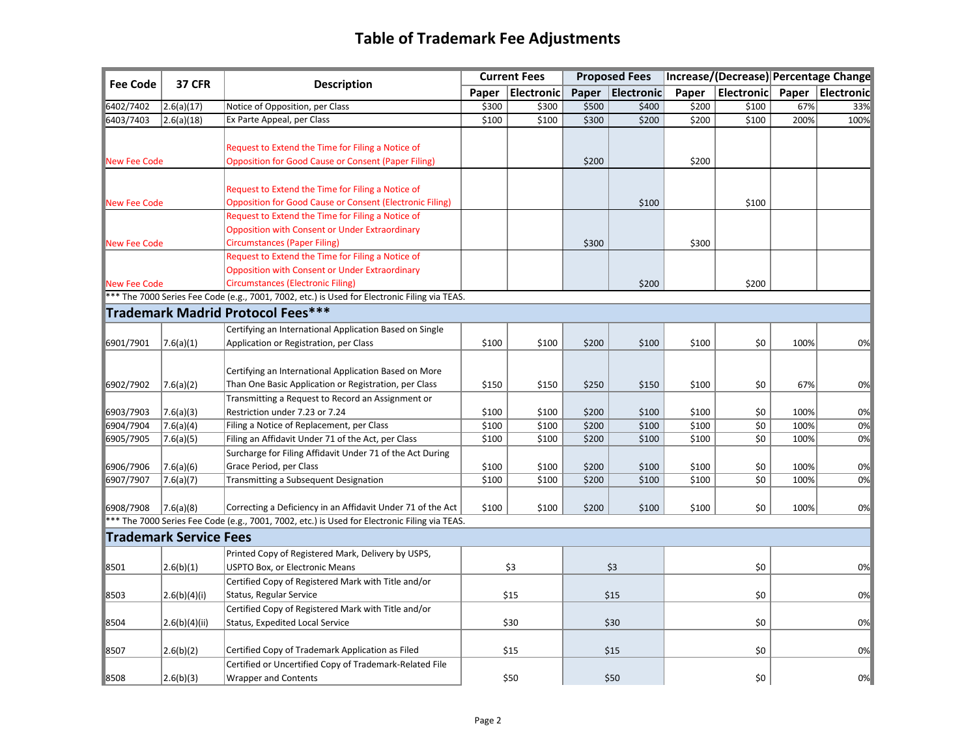## **Table of Trademark Fee Adjustments**

| <b>Fee Code</b>     | <b>37 CFR</b>                 | <b>Description</b>                                                                            | <b>Current Fees</b> |                  | <b>Proposed Fees</b> |                    | Increase/(Decrease) Percentage Change |                    |      |                    |
|---------------------|-------------------------------|-----------------------------------------------------------------------------------------------|---------------------|------------------|----------------------|--------------------|---------------------------------------|--------------------|------|--------------------|
|                     |                               |                                                                                               |                     | Paper Electronic |                      | Paper   Electronic | Paper                                 | Electronic         |      | Paper   Electronic |
| 6402/7402           | 2.6(a)(17)                    | Notice of Opposition, per Class                                                               | \$300               | \$300            | \$500                | \$400              | \$200                                 | \$100              | 67%  | 33%                |
| 6403/7403           | 2.6(a)(18)                    | Ex Parte Appeal, per Class                                                                    | \$100               | \$100            | \$300                | \$200              | \$200                                 | \$100              | 200% | 100%               |
|                     |                               |                                                                                               |                     |                  |                      |                    |                                       |                    |      |                    |
|                     |                               | Request to Extend the Time for Filing a Notice of                                             |                     |                  |                      |                    |                                       |                    |      |                    |
| New Fee Code        |                               | <b>Opposition for Good Cause or Consent (Paper Filing)</b>                                    |                     |                  | \$200                |                    | \$200                                 |                    |      |                    |
|                     |                               |                                                                                               |                     |                  |                      |                    |                                       |                    |      |                    |
|                     |                               | Request to Extend the Time for Filing a Notice of                                             |                     |                  |                      |                    |                                       |                    |      |                    |
| New Fee Code        |                               | <b>Opposition for Good Cause or Consent (Electronic Filing)</b>                               |                     |                  |                      | \$100              |                                       | \$100              |      |                    |
|                     |                               | Request to Extend the Time for Filing a Notice of                                             |                     |                  |                      |                    |                                       |                    |      |                    |
|                     |                               | <b>Opposition with Consent or Under Extraordinary</b>                                         |                     |                  |                      |                    |                                       |                    |      |                    |
| New Fee Code        |                               | <b>Circumstances (Paper Filing)</b>                                                           |                     |                  | \$300                |                    | \$300                                 |                    |      |                    |
|                     |                               | Request to Extend the Time for Filing a Notice of                                             |                     |                  |                      |                    |                                       |                    |      |                    |
|                     |                               | Opposition with Consent or Under Extraordinary                                                |                     |                  |                      |                    |                                       |                    |      |                    |
| <b>New Fee Code</b> |                               | <b>Circumstances (Electronic Filing)</b>                                                      |                     |                  |                      | \$200              |                                       | \$200              |      |                    |
|                     |                               | *** The 7000 Series Fee Code (e.g., 7001, 7002, etc.) is Used for Electronic Filing via TEAS. |                     |                  |                      |                    |                                       |                    |      |                    |
|                     |                               | Trademark Madrid Protocol Fees***                                                             |                     |                  |                      |                    |                                       |                    |      |                    |
|                     |                               | Certifying an International Application Based on Single                                       |                     |                  |                      |                    |                                       |                    |      |                    |
| 6901/7901           | 7.6(a)(1)                     | Application or Registration, per Class                                                        | \$100               | \$100            | \$200                | \$100              | \$100                                 | \$0                | 100% | 0%                 |
|                     |                               |                                                                                               |                     |                  |                      |                    |                                       |                    |      |                    |
|                     |                               | Certifying an International Application Based on More                                         |                     |                  |                      |                    |                                       |                    |      |                    |
| 6902/7902           | 7.6(a)(2)                     | Than One Basic Application or Registration, per Class                                         | \$150               | \$150            | \$250                | \$150              | \$100                                 | \$0                | 67%  | 0%                 |
|                     |                               | Transmitting a Request to Record an Assignment or                                             |                     |                  |                      |                    |                                       |                    |      |                    |
| 6903/7903           | 7.6(a)(3)                     | Restriction under 7.23 or 7.24                                                                | \$100               | \$100            | \$200                | \$100              | \$100                                 | \$0                | 100% | 0%                 |
| 6904/7904           | 7.6(a)(4)                     | Filing a Notice of Replacement, per Class                                                     | \$100               | \$100            | \$200                | \$100              | \$100                                 | $\overline{\xi_0}$ | 100% | 0%                 |
| 6905/7905           | 7.6(a)(5)                     | Filing an Affidavit Under 71 of the Act, per Class                                            | \$100               | \$100            | \$200                | \$100              | \$100                                 | \$0                | 100% | 0%                 |
|                     |                               | Surcharge for Filing Affidavit Under 71 of the Act During                                     |                     |                  |                      |                    |                                       |                    |      |                    |
| 6906/7906           | 7.6(a)(6)                     | Grace Period, per Class                                                                       | \$100               | \$100            | \$200                | \$100              | \$100                                 | \$0                | 100% | 0%                 |
| 6907/7907           | 7.6(a)(7)                     | Transmitting a Subsequent Designation                                                         | \$100               | \$100            | \$200                | \$100              | \$100                                 | \$0                | 100% | 0%                 |
|                     |                               |                                                                                               |                     |                  |                      |                    |                                       |                    |      |                    |
| 6908/7908           | 7.6(a)(8)                     | Correcting a Deficiency in an Affidavit Under 71 of the Act                                   | \$100               | \$100            | \$200                | \$100              | \$100                                 | \$0                | 100% | 0%                 |
|                     |                               | *** The 7000 Series Fee Code (e.g., 7001, 7002, etc.) is Used for Electronic Filing via TEAS. |                     |                  |                      |                    |                                       |                    |      |                    |
|                     | <b>Trademark Service Fees</b> |                                                                                               |                     |                  |                      |                    |                                       |                    |      |                    |
|                     |                               | Printed Copy of Registered Mark, Delivery by USPS,                                            |                     |                  |                      |                    |                                       |                    |      |                    |
| 8501                | 2.6(b)(1)                     | USPTO Box, or Electronic Means                                                                |                     | \$3              |                      | \$3                |                                       | \$0                |      | 0%                 |
|                     |                               | Certified Copy of Registered Mark with Title and/or                                           |                     |                  |                      |                    |                                       |                    |      |                    |
| 8503                | 2.6(b)(4)(i)                  | Status, Regular Service                                                                       | \$15                |                  | \$15                 |                    |                                       | \$0                |      | 0%                 |
|                     |                               | Certified Copy of Registered Mark with Title and/or                                           |                     |                  |                      |                    |                                       |                    |      |                    |
| 8504                | 2.6(b)(4)(ii)                 | Status, Expedited Local Service                                                               |                     | \$30             |                      | \$30               |                                       | \$0                |      | 0%                 |
|                     |                               |                                                                                               |                     |                  |                      |                    |                                       |                    |      |                    |
| 8507                | 2.6(b)(2)                     | Certified Copy of Trademark Application as Filed                                              |                     | \$15             |                      | \$15               |                                       | \$0                |      | 0%                 |
|                     |                               | Certified or Uncertified Copy of Trademark-Related File                                       |                     |                  |                      |                    |                                       |                    |      |                    |
| 8508                | 2.6(b)(3)                     | <b>Wrapper and Contents</b>                                                                   |                     | \$50             |                      | \$50               |                                       | \$0                |      | 0%                 |